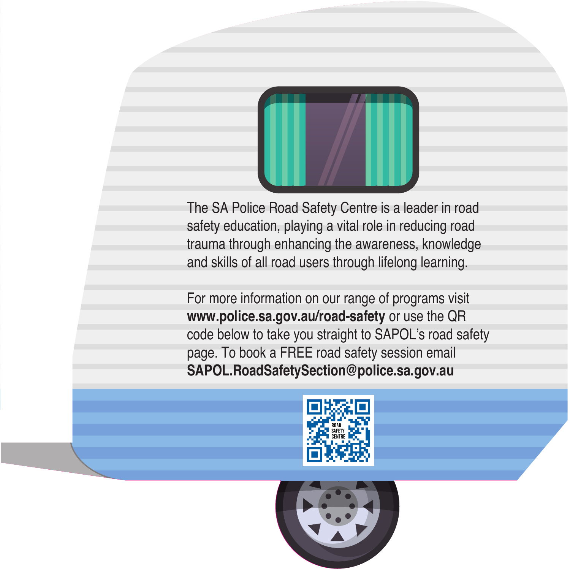

The SA Police Road Safety Centre is a leader in road safety education, playing a vital role in reducing road trauma through enhancing the awareness, knowledge and skills of all road users through lifelong learning.

For more information on our range of programs visit **www.police.sa.gov.au/road-safety** or use the QR code below to take you straight to SAPOL's road safety page. To book a FREE road safety session email **SAPOL.RoadSafetySection@police.sa.gov.au**



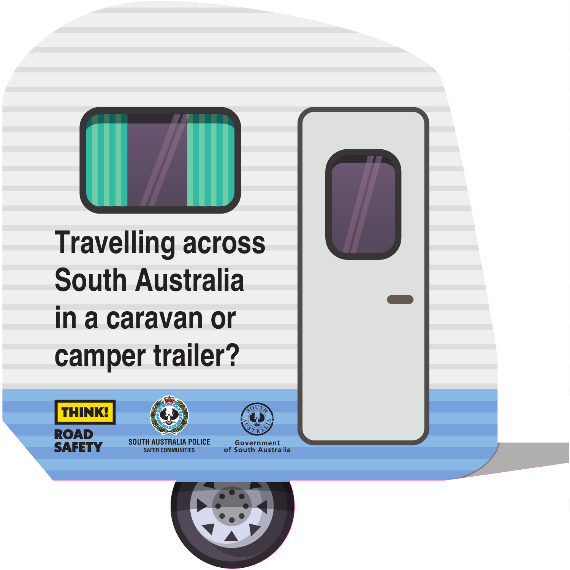

**Travelling across South Australia in a caravan or camper trailer?**

**THINK!** 

ROAD<br>SAFETY





70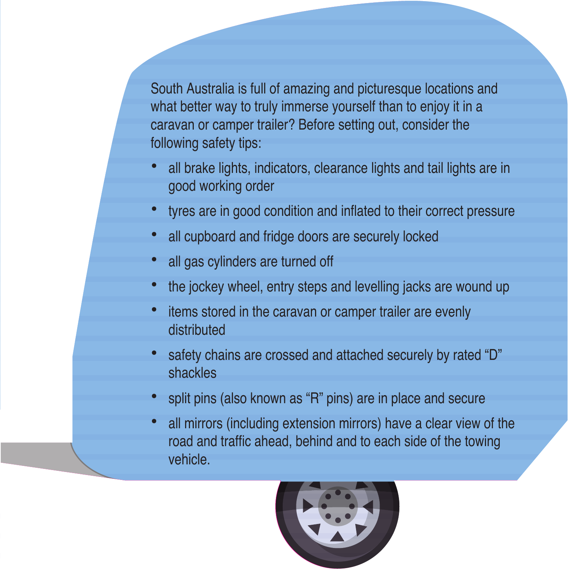South Australia is full of amazing and picturesque locations and what better way to truly immerse yourself than to enjoy it in a caravan or camper trailer? Before setting out, consider the following safety tips:

- **•** all brake lights, indicators, clearance lights and tail lights are in good working order
- **•** tyres are in good condition and inflated to their correct pressure
- **•** all cupboard and fridge doors are securely locked
- **•** all gas cylinders are turned off
- **•** the jockey wheel, entry steps and levelling jacks are wound up
- **•** items stored in the caravan or camper trailer are evenly distributed
- **•** safety chains are crossed and attached securely by rated "D" shackles
- **•** split pins (also known as "R" pins) are in place and secure
- **•** all mirrors (including extension mirrors) have a clear view of the road and traffic ahead, behind and to each side of the towing vehicle.